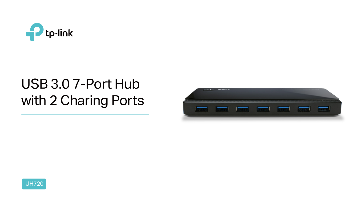



# USB 3.0 7-Port Hub with 2 Charing Ports

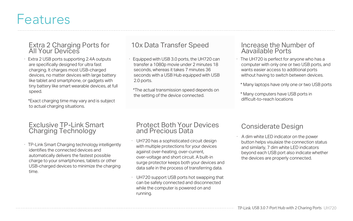## Features

# Extra 2 Charging Ports for The Tox Data Transfer Speed The Increase the Number of Aavailable Ports<br>All Your Devices

· TP-Link Smart Charging technology intelligently identifies the connected devices and automatically delivers the fastest possible charge to your smartphones, tablets or other USB-charged devices to minimize the charging time.

Extra 2 USB ports supporting 2.4A outputs are specifically designed for ultra fast charging. It charges most USB-charged devices, no matter devices with large battery like tablet and smartphone, or gadgets with tiny battery like smart wearable devices, at full speed.

#### Exclusive TP-Link Smart Charging Technology

Equipped with USB 3.0 ports, the UH720 can transfer a 1080p movie under 2 minutes 18 seconds, whereas it takes 7 minutes 36 seconds with a USB Hub equipped with USB 2.0 ports.

 \*Exact charging time may vary and is subject to actual charging situations.

- UH720 has a sophisticated circuit design with multiple protections for your devices against over-heating, over-current, over-voltage and short circuit. A built-in surge protector keeps both your devices and data safe in the process of transferring data.
- UH720 support USB ports hot swapping that can be safely connected and disconnected while the computer is powered on and running.

 \*The actual transmission speed depends on the setting of the device connected.

· The UH720 is perfect for anyone who has a computer with only one or two USB ports, and wants easier access to additional ports without having to switch between devices.

\* Many laptops have only one or two USB ports

 \* Many computers have USB ports in difficult-to-reach locations

## Aavailable Ports

#### Protect Both Your Devices and Precious Data

### Considerate Design

· A dim white LED indicator on the power button helps visulaize the connection status and similarly, 7 dim white LED indicators beyond each USB port also indicate whether the devices are properly connected.